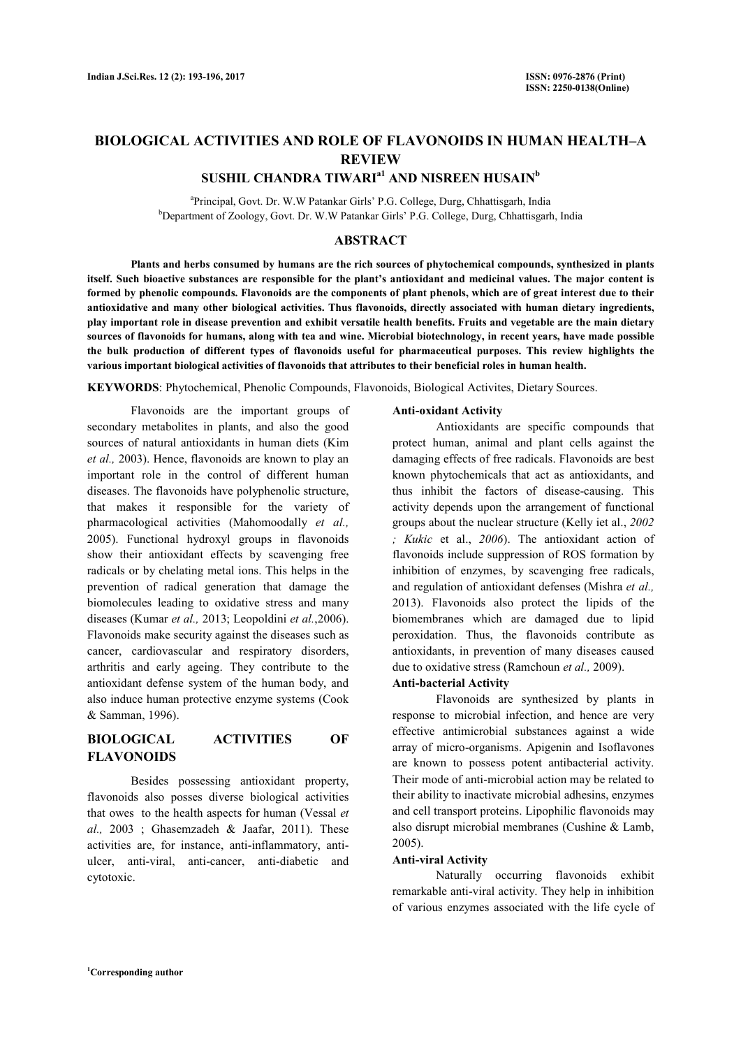# **BIOLOGICAL ACTIVITIES AND ROLE OF FLAVONOIDS IN HUMAN HEALTH–A REVIEW**

# **SUSHIL CHANDRA TIWARIa1 AND NISREEN HUSAIN<sup>b</sup>**

<sup>a</sup>Principal, Govt. Dr. W.W Patankar Girls' P.G. College, Durg, Chhattisgarh, India <sup>b</sup>Department of Zoology, Govt. Dr. W.W Patankar Girls' P.G. College, Durg, Chhattisgarh, India

### **ABSTRACT**

 **Plants and herbs consumed by humans are the rich sources of phytochemical compounds, synthesized in plants itself. Such bioactive substances are responsible for the plant's antioxidant and medicinal values. The major content is formed by phenolic compounds. Flavonoids are the components of plant phenols, which are of great interest due to their antioxidative and many other biological activities. Thus flavonoids, directly associated with human dietary ingredients, play important role in disease prevention and exhibit versatile health benefits. Fruits and vegetable are the main dietary sources of flavonoids for humans, along with tea and wine. Microbial biotechnology, in recent years, have made possible the bulk production of different types of flavonoids useful for pharmaceutical purposes. This review highlights the various important biological activities of flavonoids that attributes to their beneficial roles in human health.** 

**KEYWORDS**: Phytochemical, Phenolic Compounds, Flavonoids, Biological Activites, Dietary Sources.

 Flavonoids are the important groups of secondary metabolites in plants, and also the good sources of natural antioxidants in human diets (Kim *et al.,* 2003). Hence, flavonoids are known to play an important role in the control of different human diseases. The flavonoids have polyphenolic structure, that makes it responsible for the variety of pharmacological activities (Mahomoodally *et al.,*  2005). Functional hydroxyl groups in flavonoids show their antioxidant effects by scavenging free radicals or by chelating metal ions. This helps in the prevention of radical generation that damage the biomolecules leading to oxidative stress and many diseases (Kumar *et al.,* 2013; Leopoldini *et al.*,2006). Flavonoids make security against the diseases such as cancer, cardiovascular and respiratory disorders, arthritis and early ageing. They contribute to the antioxidant defense system of the human body, and also induce human protective enzyme systems (Cook & Samman, 1996).

## **BIOLOGICAL ACTIVITIES OF FLAVONOIDS**

 Besides possessing antioxidant property, flavonoids also posses diverse biological activities that owes to the health aspects for human (Vessal *et al.,* 2003 ; Ghasemzadeh & Jaafar, 2011). These activities are, for instance, anti-inflammatory, antiulcer, anti-viral, anti-cancer, anti-diabetic and cytotoxic.

#### **Anti-oxidant Activity**

 Antioxidants are specific compounds that protect human, animal and plant cells against the damaging effects of free radicals. Flavonoids are best known phytochemicals that act as antioxidants, and thus inhibit the factors of disease-causing. This activity depends upon the arrangement of functional groups about the nuclear structure (Kelly iet al., *2002 ; Kukic* et al., *2006*). The antioxidant action of flavonoids include suppression of ROS formation by inhibition of enzymes, by scavenging free radicals, and regulation of antioxidant defenses (Mishra *et al.,*  2013). Flavonoids also protect the lipids of the biomembranes which are damaged due to lipid peroxidation. Thus, the flavonoids contribute as antioxidants, in prevention of many diseases caused due to oxidative stress (Ramchoun *et al.,* 2009).

#### **Anti-bacterial Activity**

 Flavonoids are synthesized by plants in response to microbial infection, and hence are very effective antimicrobial substances against a wide array of micro-organisms. Apigenin and Isoflavones are known to possess potent antibacterial activity. Their mode of anti-microbial action may be related to their ability to inactivate microbial adhesins, enzymes and cell transport proteins. Lipophilic flavonoids may also disrupt microbial membranes (Cushine & Lamb, 2005).

### **Anti-viral Activity**

 Naturally occurring flavonoids exhibit remarkable anti-viral activity. They help in inhibition of various enzymes associated with the life cycle of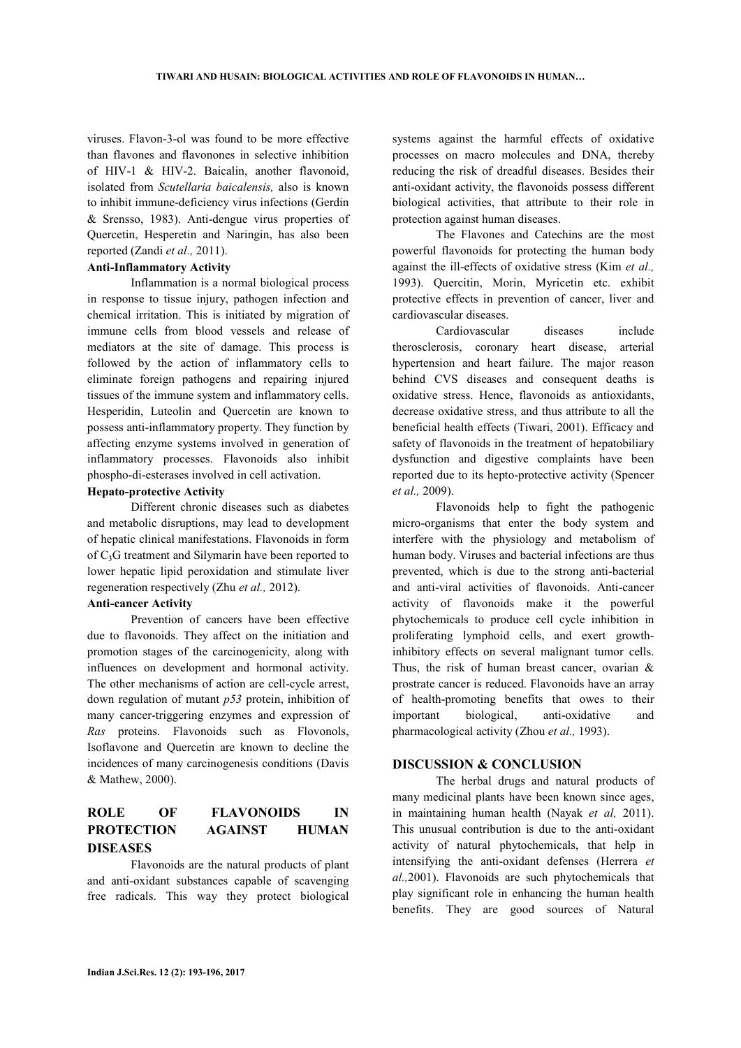viruses. Flavon-3-ol was found to be more effective than flavones and flavonones in selective inhibition of HIV-1 & HIV-2. Baicalin, another flavonoid, isolated from *Scutellaria baicalensis,* also is known to inhibit immune-deficiency virus infections (Gerdin & Srensso, 1983). Anti-dengue virus properties of Quercetin, Hesperetin and Naringin, has also been reported (Zandi *et al.,* 2011).

### **Anti-Inflammatory Activity**

 Inflammation is a normal biological process in response to tissue injury, pathogen infection and chemical irritation. This is initiated by migration of immune cells from blood vessels and release of mediators at the site of damage. This process is followed by the action of inflammatory cells to eliminate foreign pathogens and repairing injured tissues of the immune system and inflammatory cells. Hesperidin, Luteolin and Quercetin are known to possess anti-inflammatory property. They function by affecting enzyme systems involved in generation of inflammatory processes. Flavonoids also inhibit phospho-di-esterases involved in cell activation.

#### **Hepato-protective Activity**

 Different chronic diseases such as diabetes and metabolic disruptions, may lead to development of hepatic clinical manifestations. Flavonoids in form of  $C_3G$  treatment and Silvmarin have been reported to lower hepatic lipid peroxidation and stimulate liver regeneration respectively (Zhu *et al.,* 2012).

### **Anti-cancer Activity**

 Prevention of cancers have been effective due to flavonoids. They affect on the initiation and promotion stages of the carcinogenicity, along with influences on development and hormonal activity. The other mechanisms of action are cell-cycle arrest, down regulation of mutant *p53* protein, inhibition of many cancer-triggering enzymes and expression of *Ras* proteins. Flavonoids such as Flovonols, Isoflavone and Quercetin are known to decline the incidences of many carcinogenesis conditions (Davis & Mathew, 2000).

## **ROLE OF FLAVONOIDS IN PROTECTION AGAINST HUMAN DISEASES**

 Flavonoids are the natural products of plant and anti-oxidant substances capable of scavenging free radicals. This way they protect biological systems against the harmful effects of oxidative processes on macro molecules and DNA, thereby reducing the risk of dreadful diseases. Besides their anti-oxidant activity, the flavonoids possess different biological activities, that attribute to their role in protection against human diseases.

 The Flavones and Catechins are the most powerful flavonoids for protecting the human body against the ill-effects of oxidative stress (Kim *et al.,*  1993). Quercitin, Morin, Myricetin etc. exhibit protective effects in prevention of cancer, liver and cardiovascular diseases.

 Cardiovascular diseases include therosclerosis, coronary heart disease, arterial hypertension and heart failure. The major reason behind CVS diseases and consequent deaths is oxidative stress. Hence, flavonoids as antioxidants, decrease oxidative stress, and thus attribute to all the beneficial health effects (Tiwari, 2001). Efficacy and safety of flavonoids in the treatment of hepatobiliary dysfunction and digestive complaints have been reported due to its hepto-protective activity (Spencer *et al.,* 2009).

 Flavonoids help to fight the pathogenic micro-organisms that enter the body system and interfere with the physiology and metabolism of human body. Viruses and bacterial infections are thus prevented, which is due to the strong anti-bacterial and anti-viral activities of flavonoids. Anti-cancer activity of flavonoids make it the powerful phytochemicals to produce cell cycle inhibition in proliferating lymphoid cells, and exert growthinhibitory effects on several malignant tumor cells. Thus, the risk of human breast cancer, ovarian & prostrate cancer is reduced. Flavonoids have an array of health-promoting benefits that owes to their important biological, anti-oxidative and pharmacological activity (Zhou *et al.,* 1993).

### **DISCUSSION & CONCLUSION**

 The herbal drugs and natural products of many medicinal plants have been known since ages, in maintaining human health (Nayak *et al,* 2011). This unusual contribution is due to the anti-oxidant activity of natural phytochemicals, that help in intensifying the anti-oxidant defenses (Herrera *et al.,*2001). Flavonoids are such phytochemicals that play significant role in enhancing the human health benefits. They are good sources of Natural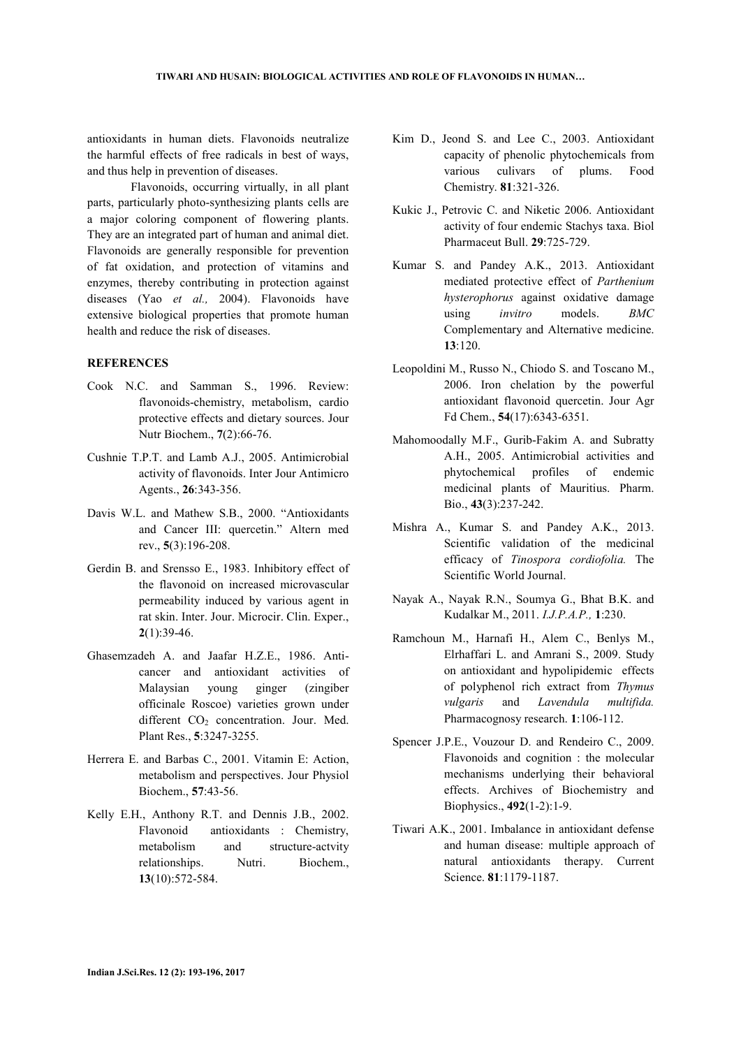antioxidants in human diets. Flavonoids neutralize the harmful effects of free radicals in best of ways, and thus help in prevention of diseases.

 Flavonoids, occurring virtually, in all plant parts, particularly photo-synthesizing plants cells are a major coloring component of flowering plants. They are an integrated part of human and animal diet. Flavonoids are generally responsible for prevention of fat oxidation, and protection of vitamins and enzymes, thereby contributing in protection against diseases (Yao *et al.,* 2004). Flavonoids have extensive biological properties that promote human health and reduce the risk of diseases.

### **REFERENCES**

- Cook N.C. and Samman S., 1996. Review: flavonoids-chemistry, metabolism, cardio protective effects and dietary sources. Jour Nutr Biochem., **7**(2):66-76.
- Cushnie T.P.T. and Lamb A.J., 2005. Antimicrobial activity of flavonoids. Inter Jour Antimicro Agents., **26**:343-356.
- Davis W.L. and Mathew S.B., 2000. "Antioxidants and Cancer III: quercetin." Altern med rev., **5**(3):196-208.
- Gerdin B. and Srensso E., 1983. Inhibitory effect of the flavonoid on increased microvascular permeability induced by various agent in rat skin. Inter. Jour. Microcir. Clin. Exper., **2**(1):39-46.
- Ghasemzadeh A. and Jaafar H.Z.E., 1986. Anticancer and antioxidant activities of Malaysian young ginger (zingiber officinale Roscoe) varieties grown under different CO<sub>2</sub> concentration. Jour. Med. Plant Res., **5**:3247-3255.
- Herrera E. and Barbas C., 2001. Vitamin E: Action, metabolism and perspectives. Jour Physiol Biochem., **57**:43-56.
- Kelly E.H., Anthony R.T. and Dennis J.B., 2002. Flavonoid antioxidants : Chemistry, metabolism and structure-actvity relationships. Nutri. Biochem., **13**(10):572-584.
- Kim D., Jeond S. and Lee C., 2003. Antioxidant capacity of phenolic phytochemicals from various culivars of plums. Food Chemistry. **81**:321-326.
- Kukic J., Petrovic C. and Niketic 2006. Antioxidant activity of four endemic Stachys taxa. Biol Pharmaceut Bull. **29**:725-729.
- Kumar S. and Pandey A.K., 2013. Antioxidant mediated protective effect of *Parthenium hysterophorus* against oxidative damage using *invitro* models. *BMC*  Complementary and Alternative medicine. **13**:120.
- Leopoldini M., Russo N., Chiodo S. and Toscano M., 2006. Iron chelation by the powerful antioxidant flavonoid quercetin. Jour Agr Fd Chem., **54**(17):6343-6351.
- Mahomoodally M.F., Gurib-Fakim A. and Subratty A.H., 2005. Antimicrobial activities and phytochemical profiles of endemic medicinal plants of Mauritius. Pharm. Bio., **43**(3):237-242.
- Mishra A., Kumar S. and Pandey A.K., 2013. Scientific validation of the medicinal efficacy of *Tinospora cordiofolia.* The Scientific World Journal.
- Nayak A., Nayak R.N., Soumya G., Bhat B.K. and Kudalkar M., 2011. *I.J.P.A.P.,* **1**:230.
- Ramchoun M., Harnafi H., Alem C., Benlys M., Elrhaffari L. and Amrani S., 2009. Study on antioxidant and hypolipidemic effects of polyphenol rich extract from *Thymus vulgaris* and *Lavendula multifida.*  Pharmacognosy research. **1**:106-112.
- Spencer J.P.E., Vouzour D. and Rendeiro C., 2009. Flavonoids and cognition : the molecular mechanisms underlying their behavioral effects. Archives of Biochemistry and Biophysics., **492**(1-2):1-9.
- Tiwari A.K., 2001. Imbalance in antioxidant defense and human disease: multiple approach of natural antioxidants therapy. Current Science. **81**:1179-1187.